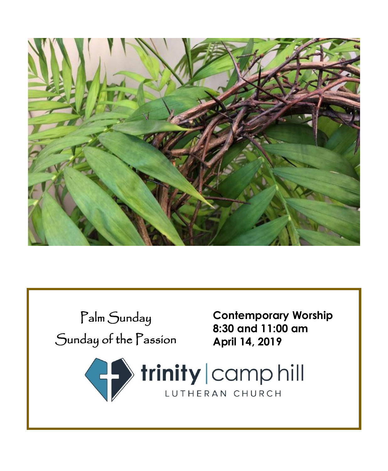

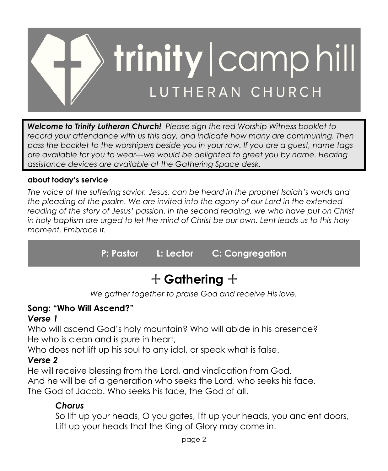

*Welcome to Trinity Lutheran Church! Please sign the red Worship Witness booklet to record your attendance with us this day, and indicate how many are communing. Then pass the booklet to the worshipers beside you in your row. If you are a guest, name tags are available for you to wear---we would be delighted to greet you by name. Hearing assistance devices are available at the Gathering Space desk.*

#### **about today's service**

*The voice of the suffering savior, Jesus, can be heard in the prophet Isaiah's words and the pleading of the psalm. We are invited into the agony of our Lord in the extended*  reading of the story of Jesus' passion. In the second reading, we who have put on Christ in holy baptism are urged to let the mind of Christ be our own. Lent leads us to this holy *moment. Embrace it.*

**P: Pastor L: Lector C: Congregation**

# + **Gathering** +

*We gather together to praise God and receive His love.*

# **Song: "Who Will Ascend?"**

#### *Verse 1*

Who will ascend God's holy mountain? Who will abide in his presence? He who is clean and is pure in heart,

Who does not lift up his soul to any idol, or speak what is false.

#### *Verse 2*

He will receive blessing from the Lord, and vindication from God. And he will be of a generation who seeks the Lord, who seeks his face, The God of Jacob. Who seeks his face, the God of all.

### *Chorus*

So lift up your heads, O you gates, lift up your heads, you ancient doors, Lift up your heads that the King of Glory may come in.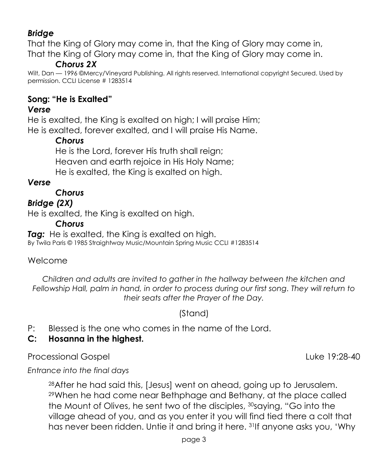#### *Bridge*

That the King of Glory may come in, that the King of Glory may come in, That the King of Glory may come in, that the King of Glory may come in.

#### *Chorus 2X*

Wilt, Dan — 1996 ©Mercy/Vineyard Publishing. All rights reserved. International copyright Secured. Used by permission. CCLI License # 1283514

## **Song: "He is Exalted"**

#### *Verse*

He is exalted, the King is exalted on high; I will praise Him; He is exalted, forever exalted, and I will praise His Name.

#### *Chorus*

He is the Lord, forever His truth shall reign; Heaven and earth rejoice in His Holy Name; He is exalted, the King is exalted on high.

#### *Verse*

### *Chorus*

# *Bridge (2X)*

He is exalted, the King is exalted on high.

#### *Chorus*

**Tag:** He is exalted, the King is exalted on high. By Twila Paris © 1985 Straightway Music/Mountain Spring Music CCLI #1283514

#### Welcome

*Children and adults are invited to gather in the hallway between the kitchen and Fellowship Hall, palm in hand, in order to process during our first song. They will return to their seats after the Prayer of the Day.*

(Stand)

P: Blessed is the one who comes in the name of the Lord.

### **C: Hosanna in the highest.**

Processional Gospel **Exercise 20:28-40** Luke 19:28-40

*Entrance into the final days*

<sup>28</sup>After he had said this, [Jesus] went on ahead, going up to Jerusalem. <sup>29</sup>When he had come near Bethphage and Bethany, at the place called the Mount of Olives, he sent two of the disciples, <sup>30</sup>saying, "Go into the village ahead of you, and as you enter it you will find tied there a colt that has never been ridden. Untie it and bring it here. <sup>31</sup>If anyone asks you, 'Why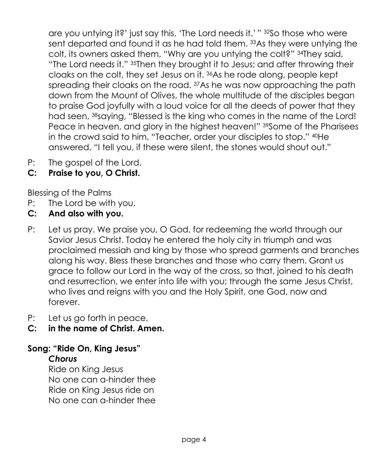are you untying it?' just say this, 'The Lord needs it.' " <sup>32</sup>So those who were sent departed and found it as he had told them. <sup>33</sup>As they were untying the colt, its owners asked them, "Why are you untying the colt?" <sup>34</sup>They said, "The Lord needs it." <sup>35</sup>Then they brought it to Jesus; and after throwing their cloaks on the colt, they set Jesus on it. <sup>36</sup>As he rode along, people kept spreading their cloaks on the road. <sup>37</sup>As he was now approaching the path down from the Mount of Olives, the whole multitude of the disciples began to praise God joyfully with a loud voice for all the deeds of power that they had seen, <sup>38</sup>saying, "Blessed is the king who comes in the name of the Lord! Peace in heaven, and glory in the highest heaven!" 39Some of the Pharisees in the crowd said to him, "Teacher, order your disciples to stop." <sup>40</sup>He answered, "I tell you, if these were silent, the stones would shout out."

- P: The gospel of the Lord.
- **C: Praise to you, O Christ.**

Blessing of the Palms

- P: The Lord be with you.
- **C: And also with you.**
- P: Let us pray. We praise you, O God, for redeeming the world through our Savior Jesus Christ. Today he entered the holy city in triumph and was proclaimed messiah and king by those who spread garments and branches along his way. Bless these branches and those who carry them. Grant us grace to follow our Lord in the way of the cross, so that, joined to his death and resurrection, we enter into life with you; through the same Jesus Christ, who lives and reigns with you and the Holy Spirit, one God, now and forever.
- P: Let us go forth in peace,
- **C: in the name of Christ. Amen.**

### **Song: "Ride On, King Jesus"**

#### *Chorus*

Ride on King Jesus No one can a-hinder thee Ride on King Jesus ride on No one can a-hinder thee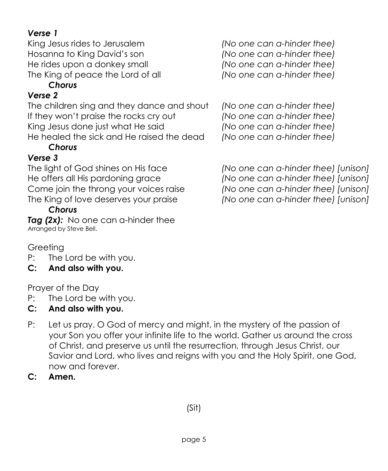# *Verse 1*

King Jesus rides to Jerusalem *(No one can a-hinder thee)* Hosanna to King David's son *(No one can a-hinder thee)* He rides upon a donkey small *(No one can a-hinder thee)* The King of peace the Lord of all *(No one can a-hinder thee)*

# *Chorus*

## *Verse 2*

The children sing and they dance and shout *(No one can a-hinder thee)* If they won't praise the rocks cry out *(No one can a-hinder thee)* King Jesus done just what He said *(No one can a-hinder thee)* He healed the sick and He raised the dead *(No one can a-hinder thee)*

# *Chorus*

# *Verse 3*

The light of God shines on His face *(No one can a-hinder thee) [unison]* He offers all His pardoning grace *(No one can a-hinder thee) [unison]* Come join the throng your voices raise *(No one can a-hinder thee) [unison]* The King of love deserves your praise *(No one can a-hinder thee) [unison]*

# *Chorus*

*Tag (2x):* No one can a-hinder thee Arranged by Steve Bell.

Greeting

- P: The Lord be with you.
- **C: And also with you.**

Prayer of the Day

- P: The Lord be with you.
- **C: And also with you.**
- P: Let us pray. O God of mercy and might, in the mystery of the passion of your Son you offer your infinite life to the world. Gather us around the cross of Christ, and preserve us until the resurrection, through Jesus Christ, our Savior and Lord, who lives and reigns with you and the Holy Spirit, one God, now and forever.
- **C: Amen.**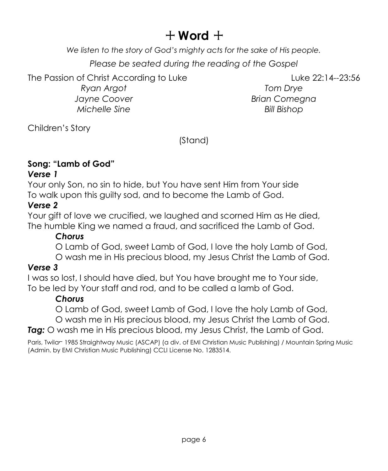# $+$  Word  $+$

*We listen to the story of God's mighty acts for the sake of His people.*

*Please be seated during the reading of the Gospel*

The Passion of Christ According to Luke Christ 22:14--23:56

*Ryan Argot Jayne Coover Michelle Sine*

*Tom Drye Brian Comegna Bill Bishop*

Children's Story

(Stand)

# **Song: "Lamb of God"**

#### *Verse 1*

Your only Son, no sin to hide, but You have sent Him from Your side To walk upon this guilty sod, and to become the Lamb of God.

#### *Verse 2*

Your gift of love we crucified, we laughed and scorned Him as He died, The humble King we named a fraud, and sacrificed the Lamb of God.

## *Chorus*

O Lamb of God, sweet Lamb of God, I love the holy Lamb of God,

O wash me in His precious blood, my Jesus Christ the Lamb of God.

### *Verse 3*

I was so lost, I should have died, but You have brought me to Your side, To be led by Your staff and rod, and to be called a lamb of God.

# *Chorus*

O Lamb of God, sweet Lamb of God, I love the holy Lamb of God,

O wash me in His precious blood, my Jesus Christ the Lamb of God.

**Tag:** O wash me in His precious blood, my Jesus Christ, the Lamb of God.

Paris, Twilar 1985 Straightway Music (ASCAP) (a div. of EMI Christian Music Publishing) / Mountain Spring Music (Admin. by EMI Christian Music Publishing) CCLI License No. 1283514.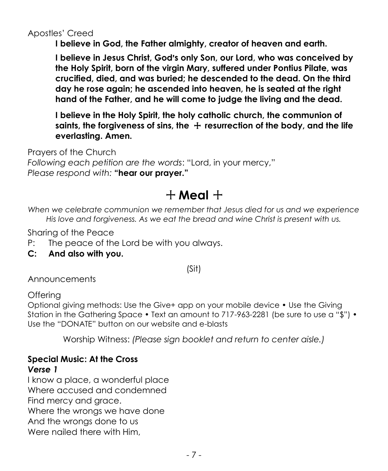Apostles' Creed

**I believe in God, the Father almighty, creator of heaven and earth.**

**I** believe in Jesus Christ, God's only Son, our Lord, who was conceived by **the Holy Spirit, born of the virgin Mary, suffered under Pontius Pilate, was crucified, died, and was buried; he descended to the dead. On the third day he rose again; he ascended into heaven, he is seated at the right hand of the Father, and he will come to judge the living and the dead.**

**I believe in the Holy Spirit, the holy catholic church, the communion of saints, the forgiveness of sins, the** + **resurrection of the body, and the life everlasting. Amen.**

Prayers of the Church

*Following each petition are the words*: "Lord, in your mercy," *Please respond with:* **"hear our prayer."**

# $+$  **Meal**  $+$

*When we celebrate communion we remember that Jesus died for us and we experience His love and forgiveness. As we eat the bread and wine Christ is present with us.*

Sharing of the Peace

- P: The peace of the Lord be with you always.
- **C: And also with you.**

### (Sit)

Announcements

**Offering** 

Optional giving methods: Use the Give+ app on your mobile device • Use the Giving Station in the Gathering Space • Text an amount to 717-963-2281 (be sure to use a "\$") • Use the "DONATE" button on our website and e-blasts

Worship Witness: *(Please sign booklet and return to center aisle.)*

#### **Special Music: At the Cross**  *Verse 1*

I know a place, a wonderful place Where accused and condemned Find mercy and grace. Where the wrongs we have done And the wrongs done to us Were nailed there with Him.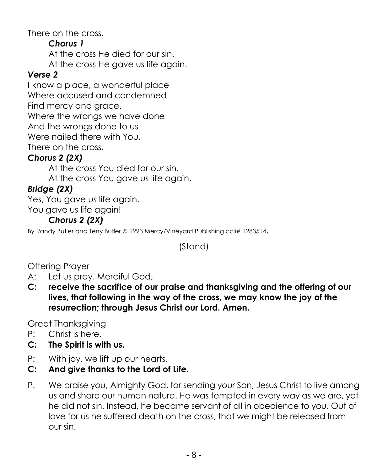There on the cross.

## *Chorus 1*

At the cross He died for our sin.

At the cross He gave us life again.

#### *Verse 2*

I know a place, a wonderful place Where accused and condemned Find mercy and grace. Where the wrongs we have done And the wrongs done to us Were nailed there with You,

There on the cross.

# *Chorus 2 (2X)*

At the cross You died for our sin.

At the cross You gave us life again.

# *Bridge (2X)*

Yes, You gave us life again. You gave us life again!

# *Chorus 2 (2X)*

By Randy Butler and Terry Butler © 1993 Mercy/Vineyard Publishing ccli# 1283514.

(Stand)

Offering Prayer

- A: Let us pray. Merciful God,
- **C: receive the sacrifice of our praise and thanksgiving and the offering of our lives, that following in the way of the cross, we may know the joy of the resurrection; through Jesus Christ our Lord. Amen.**

Great Thanksgiving

- P: Christ is here.
- **C: The Spirit is with us.**
- P: With joy, we lift up our hearts.
- **C: And give thanks to the Lord of Life.**
- P: We praise you, Almighty God, for sending your Son, Jesus Christ to live among us and share our human nature. He was tempted in every way as we are, yet he did not sin. Instead, he became servant of all in obedience to you. Out of love for us he suffered death on the cross, that we might be released from our sin.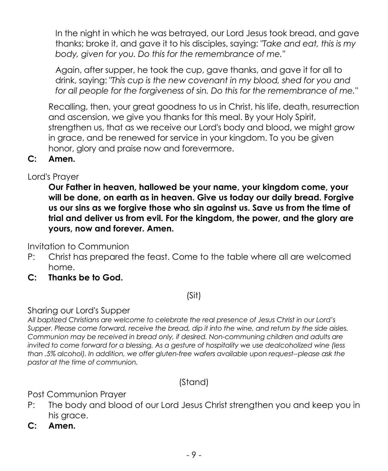In the night in which he was betrayed, our Lord Jesus took bread, and gave thanks; broke it, and gave it to his disciples, saying: *"Take and eat, this is my body, given for you. Do this for the remembrance of me."* 

Again, after supper, he took the cup, gave thanks, and gave it for all to drink, saying: *"This cup is the new covenant in my blood, shed for you and for all people for the forgiveness of sin. Do this for the remembrance of me."*

Recalling, then, your great goodness to us in Christ, his life, death, resurrection and ascension, we give you thanks for this meal. By your Holy Spirit, strengthen us, that as we receive our Lord's body and blood, we might grow in grace, and be renewed for service in your kingdom. To you be given honor, glory and praise now and forevermore.

**C: Amen.**

Lord's Prayer

**Our Father in heaven, hallowed be your name, your kingdom come, your will be done, on earth as in heaven. Give us today our daily bread. Forgive us our sins as we forgive those who sin against us. Save us from the time of trial and deliver us from evil. For the kingdom, the power, and the glory are yours, now and forever. Amen.**

Invitation to Communion

- P: Christ has prepared the feast. Come to the table where all are welcomed home.
- **C: Thanks be to God.**

# (Sit)

### Sharing our Lord's Supper

*All baptized Christians are welcome to celebrate the real presence of Jesus Christ in our Lord's Supper. Please come forward, receive the bread, dip it into the wine, and return by the side aisles. Communion may be received in bread only, if desired. Non-communing children and adults are invited to come forward for a blessing. As a gesture of hospitality we use dealcoholized wine (less than .5% alcohol). In addition, we offer gluten-free wafers available upon request--please ask the pastor at the time of communion.*

(Stand)

Post Communion Prayer

- P: The body and blood of our Lord Jesus Christ strengthen you and keep you in his grace.
- **C: Amen.**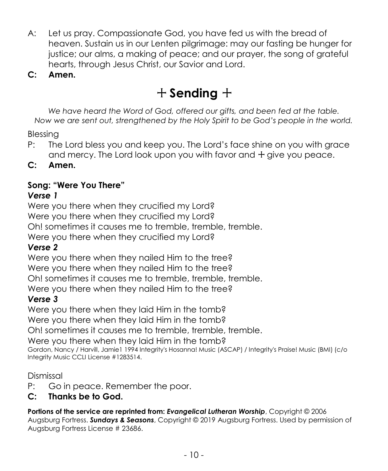- A: Let us pray. Compassionate God, you have fed us with the bread of heaven. Sustain us in our Lenten pilgrimage: may our fasting be hunger for justice; our alms, a making of peace; and our prayer, the song of grateful hearts, through Jesus Christ, our Savior and Lord.
- **C: Amen.**

# + **Sending** +

*We have heard the Word of God, offered our gifts, and been fed at the table. Now we are sent out, strengthened by the Holy Spirit to be God's people in the world.*

Blessing

- P: The Lord bless you and keep you. The Lord's face shine on you with grace and mercy. The Lord look upon you with favor and  $+$  give you peace.
- **C: Amen.**

# **Song: "Were You There"**

### *Verse 1*

Were you there when they crucified my Lord? Were you there when they crucified my Lord? Oh! sometimes it causes me to tremble, tremble, tremble. Were you there when they crucified my Lord?

### *Verse 2*

Were you there when they nailed Him to the tree? Were you there when they nailed Him to the tree? Oh! sometimes it causes me to tremble, tremble, tremble. Were you there when they nailed Him to the tree?

### *Verse 3*

Were you there when they laid Him in the tomb? Were you there when they laid Him in the tomb? Oh! sometimes it causes me to tremble, tremble, tremble. Were you there when they laid Him in the tomb? Gordon, Nancy / Harvill, Jamie1 1994 Integrity's Hosanna! Music (ASCAP) / Integrity's Praise! Music (BMI) (c/o Integrity Music CCLI License #1283514.

Dismissal

- P: Go in peace. Remember the poor.
- **C: Thanks be to God.**

**Portions of the service are reprinted from:** *Evangelical Lutheran Worship*, Copyright © 2006 Augsburg Fortress. *Sundays & Seasons*, Copyright © 2019 Augsburg Fortress. Used by permission of Augsburg Fortress License # 23686.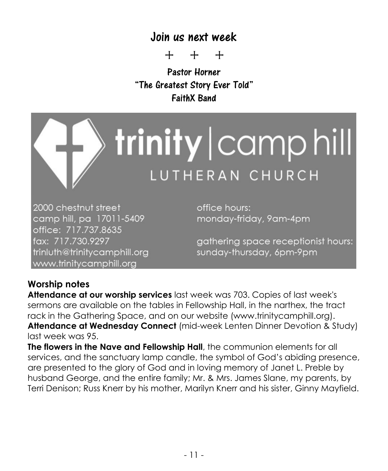# Join us next week

+ + +

Pastor Horner "The Greatest Story Ever Told" FaithX Band

# trinity | camp hill LUTHERAN CHURCH

2000 chestnut street camp hill, pa 17011-5409 office: 717.737.8635 fax: 717.730.9297 trinluth@trinitycamphill.org www.trinitycamphill.org

office hours: monday-friday, 9am-4pm

gathering space receptionist hours: sunday-thursday, 6pm-9pm

# **Worship notes**

**Attendance at our worship services** last week was 703. Copies of last week's sermons are available on the tables in Fellowship Hall, in the narthex, the tract rack in the Gathering Space, and on our website (www.trinitycamphill.org). **Attendance at Wednesday Connect** (mid-week Lenten Dinner Devotion & Study) last week was 95.

**The flowers in the Nave and Fellowship Hall**, the communion elements for all services, and the sanctuary lamp candle, the symbol of God's abiding presence, are presented to the glory of God and in loving memory of Janet L. Preble by husband George, and the entire family; Mr. & Mrs. James Slane, my parents, by Terri Denison; Russ Knerr by his mother, Marilyn Knerr and his sister, Ginny Mayfield.